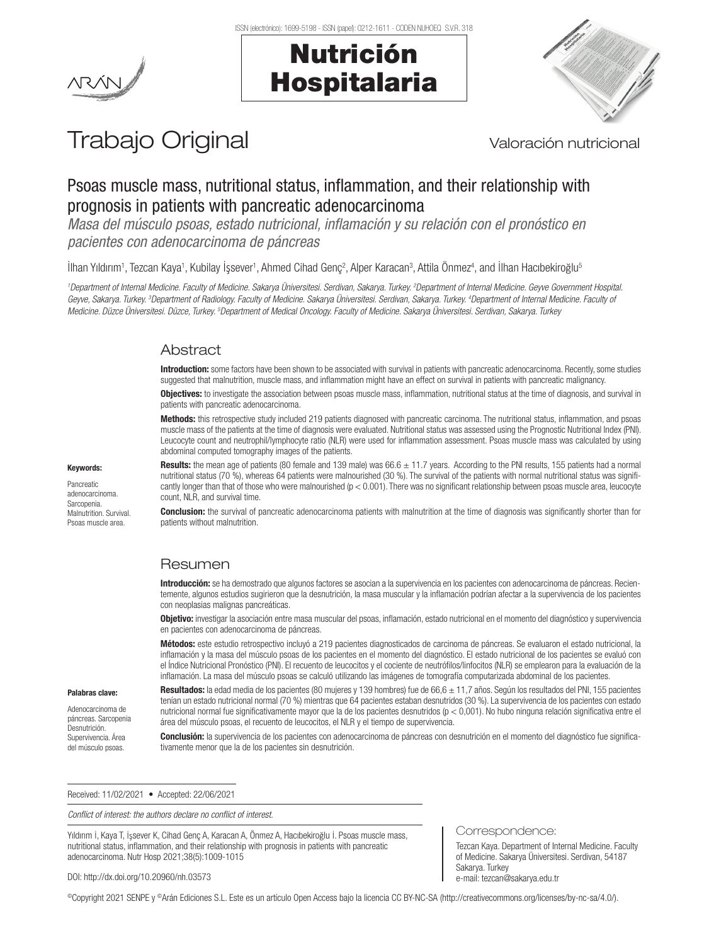

# Nutrición Hospitalaria



# Trabajo Original Valoración nutricional

# Psoas muscle mass, nutritional status, inflammation, and their relationship with prognosis in patients with pancreatic adenocarcinoma

*Masa del músculo psoas, estado nutricional, inflamación y su relación con el pronóstico en pacientes con adenocarcinoma de páncreas*

llhan Yıldırım<sup>1</sup>, Tezcan Kaya<sup>1</sup>, Kubilay Işsever<sup>1</sup>, Ahmed Cihad Genç<sup>2</sup>, Alper Karacan<sup>3</sup>, Attila Önmez<sup>4</sup>, and Ilhan Hacıbekiroğlu<sup>s</sup>

*1 Department of Internal Medicine. Faculty of Medicine. Sakarya Üniversitesi. Serdivan, Sakarya. Turkey. 2 Department of Internal Medicine. Geyve Government Hospital. Geyve, Sakarya. Turkey. 3 Department of Radiology. Faculty of Medicine. Sakarya Üniversitesi. Serdivan, Sakarya. Turkey. 4 Department of Internal Medicine. Faculty of Medicine. Düzce Üniversitesi. Düzce, Turkey. 5 Department of Medical Oncology. Faculty of Medicine. Sakarya Üniversitesi. Serdivan, Sakarya. Turkey*

# Abstract

Introduction: some factors have been shown to be associated with survival in patients with pancreatic adenocarcinoma. Recently, some studies suggested that malnutrition, muscle mass, and inflammation might have an effect on survival in patients with pancreatic malignancy.

Objectives: to investigate the association between psoas muscle mass, inflammation, nutritional status at the time of diagnosis, and survival in patients with pancreatic adenocarcinoma.

Methods: this retrospective study included 219 patients diagnosed with pancreatic carcinoma. The nutritional status, inflammation, and psoas muscle mass of the patients at the time of diagnosis were evaluated. Nutritional status was assessed using the Prognostic Nutritional Index (PNI). Leucocyte count and neutrophil/lymphocyte ratio (NLR) were used for inflammation assessment. Psoas muscle mass was calculated by using abdominal computed tomography images of the patients.

Keywords: Pancreatic

adenocarcinoma. Sarcopenia. Malnutrition. Survival. Psoas muscle area.

Palabras clave: Adenocarcinoma de páncreas. Sarcopenia Desnutrición. Supervivencia. Área del músculo psoas.

Results: the mean age of patients (80 female and 139 male) was  $66.6 \pm 11.7$  years. According to the PNI results, 155 patients had a normal nutritional status (70 %), whereas 64 patients were malnourished (30 %). The survival of the patients with normal nutritional status was significantly longer than that of those who were malnourished  $(p < 0.001)$ . There was no significant relationship between psoas muscle area, leucocyte count, NLR, and survival time.

**Conclusion:** the survival of pancreatic adenocarcinoma patients with malnutrition at the time of diagnosis was significantly shorter than for patients without malnutrition.

# Resumen

Introducción: se ha demostrado que algunos factores se asocian a la supervivencia en los pacientes con adenocarcinoma de páncreas. Recientemente, algunos estudios sugirieron que la desnutrición, la masa muscular y la inflamación podrían afectar a la supervivencia de los pacientes con neoplasias malignas pancreáticas.

Objetivo: investigar la asociación entre masa muscular del psoas, inflamación, estado nutricional en el momento del diagnóstico y supervivencia en pacientes con adenocarcinoma de páncreas.

Métodos: este estudio retrospectivo incluyó a 219 pacientes diagnosticados de carcinoma de páncreas. Se evaluaron el estado nutricional, la inflamación y la masa del músculo psoas de los pacientes en el momento del diagnóstico. El estado nutricional de los pacientes se evaluó con el Índice Nutricional Pronóstico (PNI). El recuento de leucocitos y el cociente de neutrófilos/linfocitos (NLR) se emplearon para la evaluación de la inflamación. La masa del músculo psoas se calculó utilizando las imágenes de tomografía computarizada abdominal de los pacientes.

Resultados: la edad media de los pacientes (80 mujeres y 139 hombres) fue de 66,6 ± 11,7 años. Según los resultados del PNI, 155 pacientes tenían un estado nutricional normal (70 %) mientras que 64 pacientes estaban desnutridos (30 %). La supervivencia de los pacientes con estado nutricional normal fue significativamente mayor que la de los pacientes desnutridos (p < 0,001). No hubo ninguna relación significativa entre el área del músculo psoas, el recuento de leucocitos, el NLR y el tiempo de supervivencia.

Conclusión: la supervivencia de los pacientes con adenocarcinoma de páncreas con desnutrición en el momento del diagnóstico fue significativamente menor que la de los pacientes sin desnutrición.

Correspondence:

e-mail: tezcan@sakarya.edu.tr

Sakarya. Turkey

Tezcan Kaya. Department of Internal Medicine. Faculty of Medicine. Sakarya Üniversitesi. Serdivan, 54187

Received: 11/02/2021 • Accepted: 22/06/2021

*Conflict of interest: the authors declare no conflict of interest.*

Yıldırım İ, Kaya T, İşsever K, Cihad Genç A, Karacan A, Önmez A, Hacıbekiroğlu İ. Psoas muscle mass, nutritional status, inflammation, and their relationship with prognosis in patients with pancreatic adenocarcinoma. Nutr Hosp 2021;38(5):1009-1015

DOI: http://dx.doi.org/10.20960/nh.03573

©Copyright 2021 SENPE y ©Arán Ediciones S.L. Este es un artículo Open Access bajo la licencia CC BY-NC-SA (http://creativecommons.org/licenses/by-nc-sa/4.0/).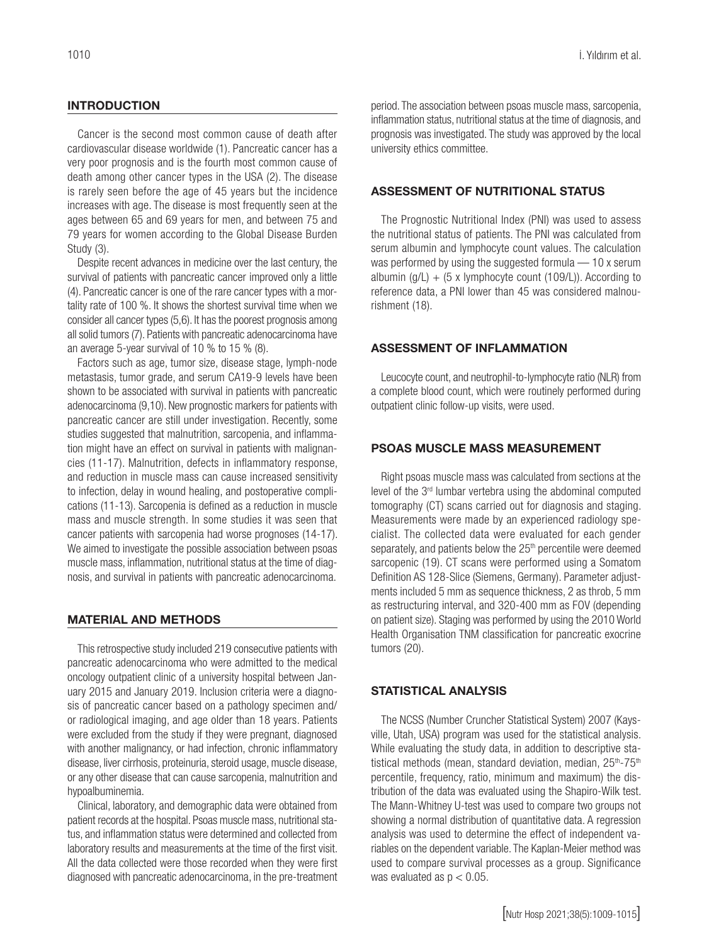#### INTRODUCTION

Cancer is the second most common cause of death after cardiovascular disease worldwide (1). Pancreatic cancer has a very poor prognosis and is the fourth most common cause of death among other cancer types in the USA (2). The disease is rarely seen before the age of 45 years but the incidence increases with age. The disease is most frequently seen at the ages between 65 and 69 years for men, and between 75 and 79 years for women according to the Global Disease Burden Study (3).

Despite recent advances in medicine over the last century, the survival of patients with pancreatic cancer improved only a little (4). Pancreatic cancer is one of the rare cancer types with a mortality rate of 100 %. It shows the shortest survival time when we consider all cancer types (5,6). It has the poorest prognosis among all solid tumors (7). Patients with pancreatic adenocarcinoma have an average 5-year survival of 10 % to 15 % (8).

Factors such as age, tumor size, disease stage, lymph-node metastasis, tumor grade, and serum CA19-9 levels have been shown to be associated with survival in patients with pancreatic adenocarcinoma (9,10). New prognostic markers for patients with pancreatic cancer are still under investigation. Recently, some studies suggested that malnutrition, sarcopenia, and inflammation might have an effect on survival in patients with malignancies (11-17). Malnutrition, defects in inflammatory response, and reduction in muscle mass can cause increased sensitivity to infection, delay in wound healing, and postoperative complications (11-13). Sarcopenia is defined as a reduction in muscle mass and muscle strength. In some studies it was seen that cancer patients with sarcopenia had worse prognoses (14-17). We aimed to investigate the possible association between psoas muscle mass, inflammation, nutritional status at the time of diagnosis, and survival in patients with pancreatic adenocarcinoma.

#### MATERIAL AND METHODS

This retrospective study included 219 consecutive patients with pancreatic adenocarcinoma who were admitted to the medical oncology outpatient clinic of a university hospital between January 2015 and January 2019. Inclusion criteria were a diagnosis of pancreatic cancer based on a pathology specimen and/ or radiological imaging, and age older than 18 years. Patients were excluded from the study if they were pregnant, diagnosed with another malignancy, or had infection, chronic inflammatory disease, liver cirrhosis, proteinuria, steroid usage, muscle disease, or any other disease that can cause sarcopenia, malnutrition and hypoalbuminemia.

Clinical, laboratory, and demographic data were obtained from patient records at the hospital. Psoas muscle mass, nutritional status, and inflammation status were determined and collected from laboratory results and measurements at the time of the first visit. All the data collected were those recorded when they were first diagnosed with pancreatic adenocarcinoma, in the pre-treatment period. The association between psoas muscle mass, sarcopenia, inflammation status, nutritional status at the time of diagnosis, and prognosis was investigated. The study was approved by the local university ethics committee.

#### ASSESSMENT OF NUTRITIONAL STATUS

The Prognostic Nutritional Index (PNI) was used to assess the nutritional status of patients. The PNI was calculated from serum albumin and lymphocyte count values. The calculation was performed by using the suggested formula — 10 x serum albumin (g/L)  $+$  (5 x lymphocyte count (109/L)). According to reference data, a PNI lower than 45 was considered malnourishment (18).

#### ASSESSMENT OF INFLAMMATION

Leucocyte count, and neutrophil-to-lymphocyte ratio (NLR) from a complete blood count, which were routinely performed during outpatient clinic follow-up visits, were used.

### PSOAS MUSCLE MASS MEASUREMENT

Right psoas muscle mass was calculated from sections at the level of the 3rd lumbar vertebra using the abdominal computed tomography (CT) scans carried out for diagnosis and staging. Measurements were made by an experienced radiology specialist. The collected data were evaluated for each gender separately, and patients below the 25<sup>th</sup> percentile were deemed sarcopenic (19). CT scans were performed using a Somatom Definition AS 128-Slice (Siemens, Germany). Parameter adjustments included 5 mm as sequence thickness, 2 as throb, 5 mm as restructuring interval, and 320-400 mm as FOV (depending on patient size). Staging was performed by using the 2010 World Health Organisation TNM classification for pancreatic exocrine tumors (20).

#### STATISTICAL ANALYSIS

The NCSS (Number Cruncher Statistical System) 2007 (Kaysville, Utah, USA) program was used for the statistical analysis. While evaluating the study data, in addition to descriptive statistical methods (mean, standard deviation, median, 25<sup>th</sup>-75<sup>th</sup> percentile, frequency, ratio, minimum and maximum) the distribution of the data was evaluated using the Shapiro-Wilk test. The Mann-Whitney U-test was used to compare two groups not showing a normal distribution of quantitative data. A regression analysis was used to determine the effect of independent va riables on the dependent variable. The Kaplan-Meier method was used to compare survival processes as a group. Significance was evaluated as  $p < 0.05$ .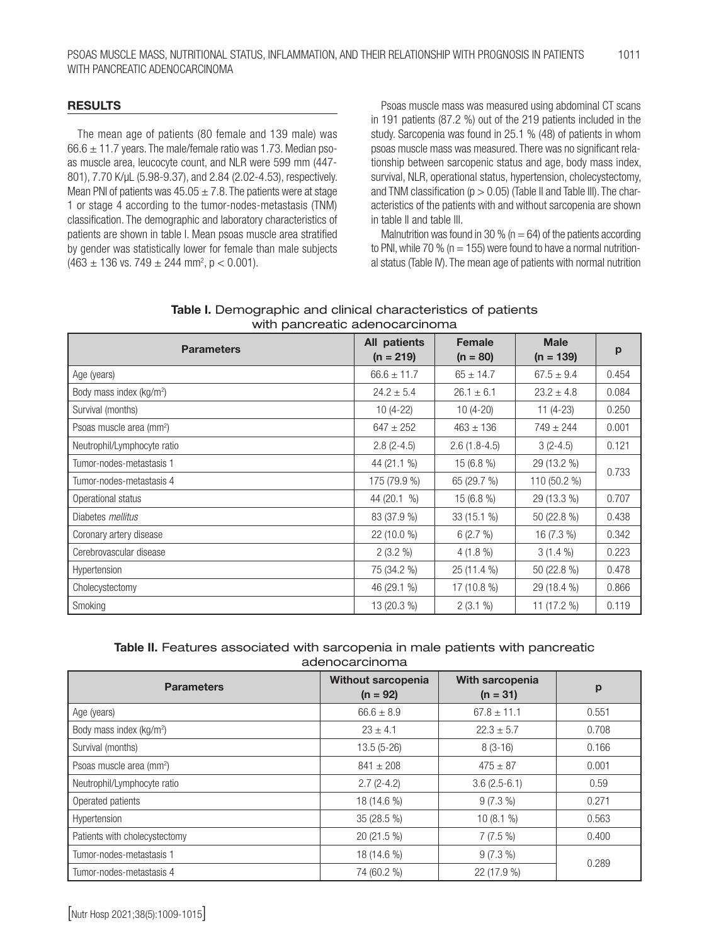#### RESULTS

The mean age of patients (80 female and 139 male) was  $66.6 \pm 11.7$  years. The male/female ratio was 1.73. Median psoas muscle area, leucocyte count, and NLR were 599 mm (447- 801), 7.70 K/µL (5.98-9.37), and 2.84 (2.02-4.53), respectively. Mean PNI of patients was  $45.05 \pm 7.8$ . The patients were at stage 1 or stage 4 according to the tumor-nodes-metastasis (TNM) classification. The demographic and laboratory characteristics of patients are shown in table I. Mean psoas muscle area stratified by gender was statistically lower for female than male subjects  $(463 \pm 136 \text{ vs. } 749 \pm 244 \text{ mm}^2, \text{ p} < 0.001).$ 

Psoas muscle mass was measured using abdominal CT scans in 191 patients (87.2 %) out of the 219 patients included in the study. Sarcopenia was found in 25.1 % (48) of patients in whom psoas muscle mass was measured. There was no significant relationship between sarcopenic status and age, body mass index, survival, NLR, operational status, hypertension, cholecystectomy, and TNM classification ( $p > 0.05$ ) (Table II and Table III). The characteristics of the patients with and without sarcopenia are shown in table II and table III.

Malnutrition was found in 30 % ( $n = 64$ ) of the patients according to PNI, while 70 % ( $n = 155$ ) were found to have a normal nutritional status (Table IV). The mean age of patients with normal nutrition

| Table I. Demographic and clinical characteristics of patients |
|---------------------------------------------------------------|
| with pancreatic adenocarcinoma                                |

| <b>Parameters</b>                    | All patients<br>$(n = 219)$ | <b>Female</b><br>$(n = 80)$ | <b>Male</b><br>$(n = 139)$ | p     |  |
|--------------------------------------|-----------------------------|-----------------------------|----------------------------|-------|--|
| Age (years)                          | $66.6 \pm 11.7$             | $65 \pm 14.7$               | $67.5 \pm 9.4$             | 0.454 |  |
| Body mass index (kg/m <sup>2</sup> ) | $24.2 \pm 5.4$              | $26.1 \pm 6.1$              | $23.2 \pm 4.8$             | 0.084 |  |
| Survival (months)                    | $10(4-22)$                  | $10(4-20)$                  | $11(4-23)$                 | 0.250 |  |
| Psoas muscle area (mm <sup>2</sup> ) | $647 \pm 252$               | $463 \pm 136$               | $749 \pm 244$              | 0.001 |  |
| Neutrophil/Lymphocyte ratio          | $2.8(2-4.5)$                | $2.6(1.8-4.5)$              | $3(2-4.5)$                 | 0.121 |  |
| Tumor-nodes-metastasis 1             | 44 (21.1 %)                 | 15 (6.8 %)                  | 29 (13.2 %)                |       |  |
| Tumor-nodes-metastasis 4             | 175 (79.9 %)                | 65 (29.7 %)                 | 110 (50.2 %)               | 0.733 |  |
| Operational status                   | 44 (20.1 %)                 | $15(6.8\%)$                 | 29 (13.3 %)                | 0.707 |  |
| Diabetes <i>mellitus</i>             | 83 (37.9 %)                 | 33 (15.1 %)                 | 50 (22.8 %)                | 0.438 |  |
| Coronary artery disease              | $22(10.0\%)$                | 6(2.7%)                     | 16 (7.3 %)                 | 0.342 |  |
| Cerebrovascular disease              | $2(3.2\%)$                  | $4(1.8\%)$                  | $3(1.4\%)$                 | 0.223 |  |
| Hypertension                         | 75 (34.2 %)                 | 25 (11.4 %)                 | 50 (22.8 %)                | 0.478 |  |
| Cholecystectomy                      | 46 (29.1 %)                 | $17(10.8\%)$                | 29 (18.4 %)                | 0.866 |  |
| Smoking                              | 13 (20.3 %)                 | $2(3.1\%)$                  | 11 (17.2 %)                | 0.119 |  |

### Table II. Features associated with sarcopenia in male patients with pancreatic adenocarcinoma

| <b>Parameters</b>                    | <b>Without sarcopenia</b><br>$(n = 92)$ | With sarcopenia<br>$(n = 31)$ | р     |  |
|--------------------------------------|-----------------------------------------|-------------------------------|-------|--|
| Age (years)                          | $66.6 \pm 8.9$                          | $67.8 \pm 11.1$               | 0.551 |  |
| Body mass index (kg/m <sup>2</sup> ) | $23 + 4.1$                              | $22.3 + 5.7$                  | 0.708 |  |
| Survival (months)                    | $13.5(5-26)$                            | $8(3-16)$                     | 0.166 |  |
| Psoas muscle area (mm <sup>2</sup> ) | $841 \pm 208$                           | $475 \pm 87$                  | 0.001 |  |
| Neutrophil/Lymphocyte ratio          | $2.7(2-4.2)$                            | $3.6(2.5-6.1)$                | 0.59  |  |
| Operated patients                    | 18 (14.6 %)                             | $9(7.3\%)$                    | 0.271 |  |
| Hypertension                         | $35(28.5\%)$                            | 10(8.1%                       | 0.563 |  |
| Patients with cholecystectomy        | 20 (21.5 %)                             | $7(7.5\%)$                    | 0.400 |  |
| Tumor-nodes-metastasis 1             | 18 (14.6 %)                             | $9(7.3\%)$                    | 0.289 |  |
| Tumor-nodes-metastasis 4             | 74 (60.2 %)                             | 22 (17.9 %)                   |       |  |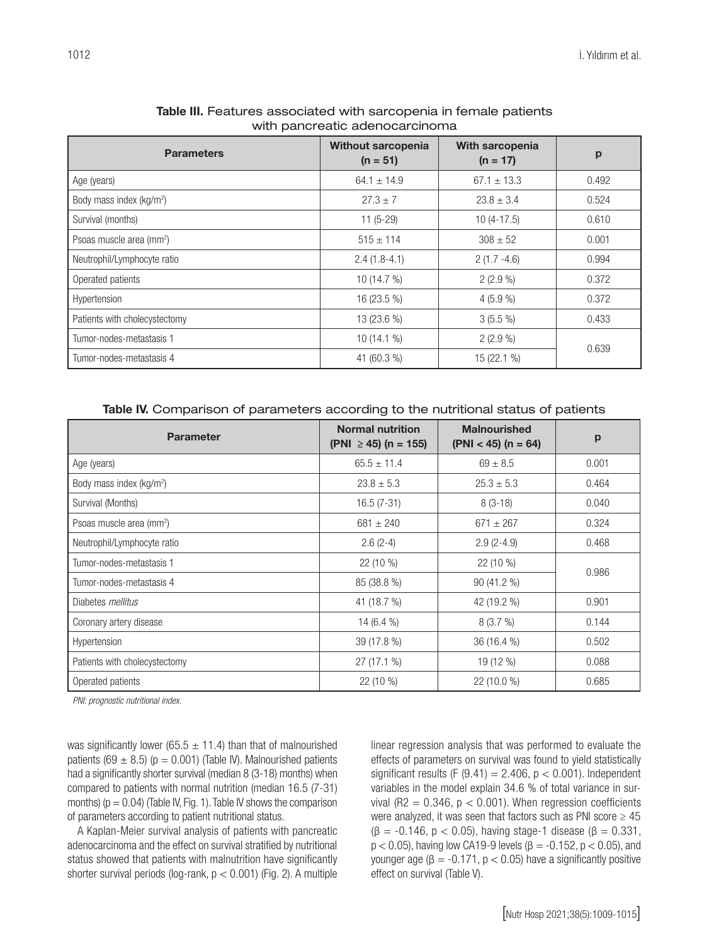| with paricreatic aderiocarcinomia    |                                  |                               |       |  |
|--------------------------------------|----------------------------------|-------------------------------|-------|--|
| <b>Parameters</b>                    | Without sarcopenia<br>$(n = 51)$ | With sarcopenia<br>$(n = 17)$ | p     |  |
| Age (years)                          | $64.1 \pm 14.9$                  | $67.1 \pm 13.3$               | 0.492 |  |
| Body mass index (kg/m <sup>2</sup> ) | $27.3 + 7$                       | $23.8 \pm 3.4$                | 0.524 |  |
| Survival (months)                    | $11(5-29)$                       | $10(4-17.5)$                  | 0.610 |  |
| Psoas muscle area (mm <sup>2</sup> ) | $515 \pm 114$                    | $308 \pm 52$                  | 0.001 |  |
| Neutrophil/Lymphocyte ratio          | $2.4(1.8-4.1)$                   | $2(1.7 - 4.6)$                | 0.994 |  |
| Operated patients                    | 10 (14.7 %)                      | $2(2.9\%)$                    | 0.372 |  |
| Hypertension                         | 16 (23.5 %)                      | $4(5.9\%)$                    | 0.372 |  |
| Patients with cholecystectomy        | 13 (23.6 %)                      | $3(5.5\%)$                    | 0.433 |  |
| Tumor-nodes-metastasis 1             | $10(14.1\%)$                     | $2(2.9\%)$                    | 0.639 |  |
| Tumor-nodes-metastasis 4             | 41 (60.3 %)                      | 15 (22.1 %)                   |       |  |

#### Table III. Features associated with sarcopenia in female patients with pancreatic adenocarcinoma

#### Table IV. Comparison of parameters according to the nutritional status of patients

| <b>Parameter</b>                     | <b>Normal nutrition</b><br>$(PNI \ge 45)$ (n = 155) | <b>Malnourished</b><br>$(PNI < 45)$ (n = 64) | p     |
|--------------------------------------|-----------------------------------------------------|----------------------------------------------|-------|
| Age (years)                          | $65.5 \pm 11.4$                                     | $69 \pm 8.5$                                 | 0.001 |
| Body mass index (kg/m <sup>2</sup> ) | $23.8 \pm 5.3$                                      | $25.3 \pm 5.3$                               | 0.464 |
| Survival (Months)                    | $16.5(7-31)$                                        | $8(3-18)$                                    | 0.040 |
| Psoas muscle area (mm <sup>2</sup> ) | $681 \pm 240$                                       | $671 \pm 267$                                | 0.324 |
| Neutrophil/Lymphocyte ratio          | $2.6(2-4)$                                          | $2.9(2-4.9)$                                 | 0.468 |
| Tumor-nodes-metastasis 1             | 22 (10 %)                                           | $22(10\%)$                                   | 0.986 |
| Tumor-nodes-metastasis 4             | 85 (38.8 %)                                         | 90 (41.2 %)                                  |       |
| Diabetes <i>mellitus</i>             | 41 (18.7 %)                                         | 42 (19.2 %)                                  | 0.901 |
| Coronary artery disease              | 14 $(6.4\%$                                         | 8(3.7%)                                      | 0.144 |
| Hypertension                         | 39 (17.8 %)                                         | 36 (16.4 %)                                  | 0.502 |
| Patients with cholecystectomy        | $27(17.1\%)$                                        | 19 (12 %)                                    | 0.088 |
| Operated patients                    | 22 (10 %)                                           | 22 (10.0 %)                                  | 0.685 |

*PNI: prognostic nutritional index.*

was significantly lower (65.5  $\pm$  11.4) than that of malnourished patients (69  $\pm$  8.5) (p = 0.001) (Table IV). Malnourished patients had a significantly shorter survival (median 8 (3-18) months) when compared to patients with normal nutrition (median 16.5 (7-31) months) ( $p = 0.04$ ) (Table IV, Fig. 1). Table IV shows the comparison of parameters according to patient nutritional status.

A Kaplan-Meier survival analysis of patients with pancreatic adenocarcinoma and the effect on survival stratified by nutritional status showed that patients with malnutrition have significantly shorter survival periods (log-rank, p < 0.001) (Fig. 2). A multiple

linear regression analysis that was performed to evaluate the effects of parameters on survival was found to yield statistically significant results (F  $(9.41) = 2.406$ ,  $p < 0.001$ ). Independent variables in the model explain 34.6 % of total variance in survival (R2 =  $0.346$ ,  $p < 0.001$ ). When regression coefficients were analyzed, it was seen that factors such as PNI score  $\geq 45$ ( $\beta$  = -0.146, p < 0.05), having stage-1 disease ( $\beta$  = 0.331,  $p$  < 0.05), having low CA19-9 levels (β = -0.152, p < 0.05), and younger age ( $β = -0.171$ ,  $p < 0.05$ ) have a significantly positive effect on survival (Table V).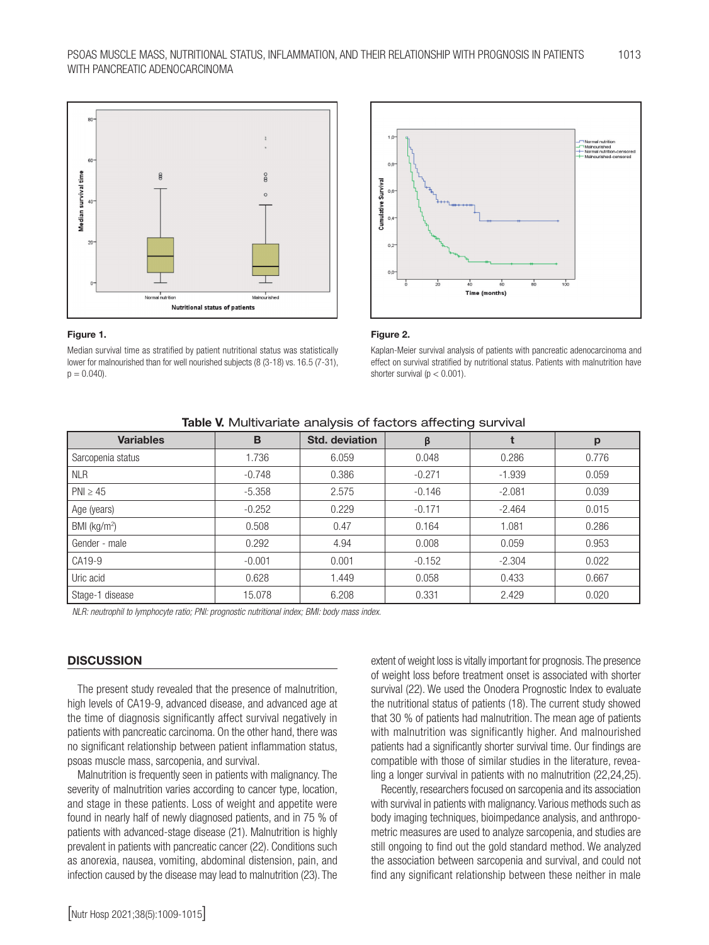

#### Figure 1.

 $BM$ 

Median survival time as stratified by patient nutritional status was statistically lower for malnourished than for well nourished subjects (8 (3-18) vs. 16.5 (7-31),  $p = 0.040$ .



#### Figure 2.

Kaplan-Meier survival analysis of patients with pancreatic adenocarcinoma and effect on survival stratified by nutritional status. Patients with malnutrition have shorter survival ( $p < 0.001$ ).

| Table V. Multivariate analysis of factors affecting survival |          |                       |          |          |       |
|--------------------------------------------------------------|----------|-----------------------|----------|----------|-------|
| <b>Variables</b>                                             | B        | <b>Std. deviation</b> | β        |          | p     |
| Sarcopenia status                                            | 1.736    | 6.059                 | 0.048    | 0.286    | 0.776 |
| <b>NLR</b>                                                   | $-0.748$ | 0.386                 | $-0.271$ | $-1.939$ | 0.059 |
| $PNI \geq 45$                                                | $-5.358$ | 2.575                 | $-0.146$ | $-2.081$ | 0.039 |
| Age (years)                                                  | $-0.252$ | 0.229                 | $-0.171$ | $-2.464$ | 0.015 |
| BMI (kg/m <sup>2</sup> )                                     | 0.508    | 0.47                  | 0.164    | 1.081    | 0.286 |
| Gender - male                                                | 0.292    | 4.94                  | 0.008    | 0.059    | 0.953 |
| CA19-9                                                       | $-0.001$ | 0.001                 | $-0.152$ | $-2.304$ | 0.022 |
| Uric acid                                                    | 0.628    | 1.449                 | 0.058    | 0.433    | 0.667 |

Stage-1 disease 15.078 6.208 0.331 2.429 0.020

*NLR: neutrophil to lymphocyte ratio; PNI: prognostic nutritional index; BMI: body mass index.* 

#### **DISCUSSION**

The present study revealed that the presence of malnutrition, high levels of CA19-9, advanced disease, and advanced age at the time of diagnosis significantly affect survival negatively in patients with pancreatic carcinoma. On the other hand, there was no significant relationship between patient inflammation status, psoas muscle mass, sarcopenia, and survival.

Malnutrition is frequently seen in patients with malignancy. The severity of malnutrition varies according to cancer type, location, and stage in these patients. Loss of weight and appetite were found in nearly half of newly diagnosed patients, and in 75 % of patients with advanced-stage disease (21). Malnutrition is highly prevalent in patients with pancreatic cancer (22). Conditions such as anorexia, nausea, vomiting, abdominal distension, pain, and infection caused by the disease may lead to malnutrition (23). The

extent of weight loss is vitally important for prognosis. The presence of weight loss before treatment onset is associated with shorter survival (22). We used the Onodera Prognostic Index to evaluate the nutritional status of patients (18). The current study showed that 30 % of patients had malnutrition. The mean age of patients with malnutrition was significantly higher. And malnourished patients had a significantly shorter survival time. Our findings are compatible with those of similar studies in the literature, revealing a longer survival in patients with no malnutrition (22,24,25).

Recently, researchers focused on sarcopenia and its association with survival in patients with malignancy. Various methods such as body imaging techniques, bioimpedance analysis, and anthropometric measures are used to analyze sarcopenia, and studies are still ongoing to find out the gold standard method. We analyzed the association between sarcopenia and survival, and could not find any significant relationship between these neither in male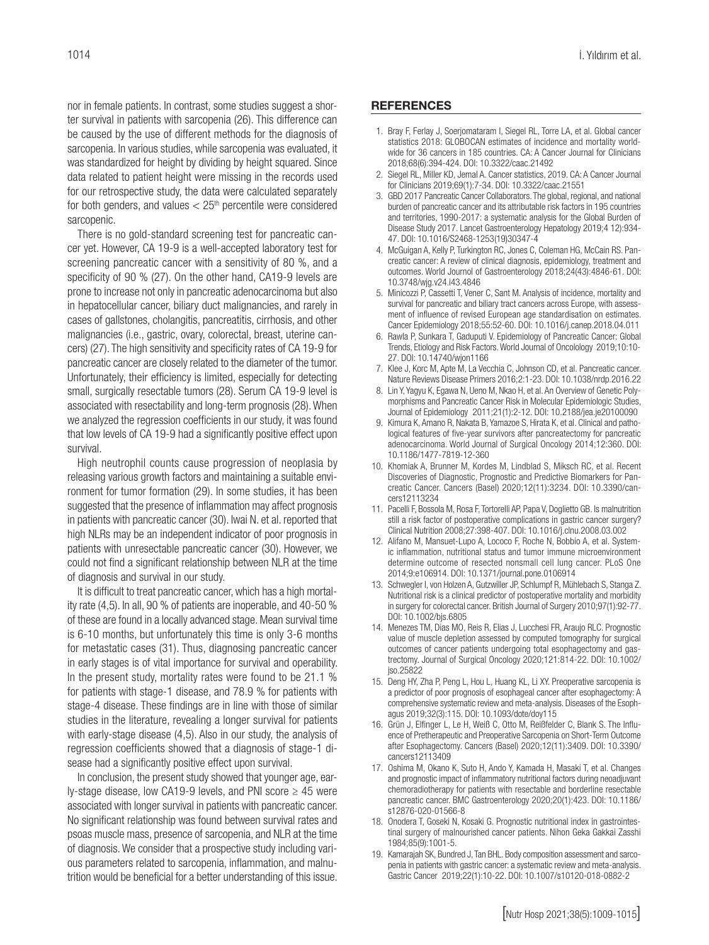nor in female patients. In contrast, some studies suggest a shorter survival in patients with sarcopenia (26). This difference can be caused by the use of different methods for the diagnosis of sarcopenia. In various studies, while sarcopenia was evaluated, it was standardized for height by dividing by height squared. Since data related to patient height were missing in the records used for our retrospective study, the data were calculated separately for both genders, and values  $< 25<sup>th</sup>$  percentile were considered sarcopenic.

There is no gold-standard screening test for pancreatic cancer yet. However, CA 19-9 is a well-accepted laboratory test for screening pancreatic cancer with a sensitivity of 80 %, and a specificity of 90 % (27). On the other hand, CA19-9 levels are prone to increase not only in pancreatic adenocarcinoma but also in hepatocellular cancer, biliary duct malignancies, and rarely in cases of gallstones, cholangitis, pancreatitis, cirrhosis, and other malignancies (i.e., gastric, ovary, colorectal, breast, uterine cancers) (27). The high sensitivity and specificity rates of CA 19-9 for pancreatic cancer are closely related to the diameter of the tumor. Unfortunately, their efficiency is limited, especially for detecting small, surgically resectable tumors (28). Serum CA 19-9 level is associated with resectability and long-term prognosis (28). When we analyzed the regression coefficients in our study, it was found that low levels of CA 19-9 had a significantly positive effect upon survival.

High neutrophil counts cause progression of neoplasia by releasing various growth factors and maintaining a suitable environment for tumor formation (29). In some studies, it has been suggested that the presence of inflammation may affect prognosis in patients with pancreatic cancer (30). Iwai N. et al. reported that high NLRs may be an independent indicator of poor prognosis in patients with unresectable pancreatic cancer (30). However, we could not find a significant relationship between NLR at the time of diagnosis and survival in our study.

It is difficult to treat pancreatic cancer, which has a high mortality rate (4,5). In all, 90 % of patients are inoperable, and 40-50 % of these are found in a locally advanced stage. Mean survival time is 6-10 months, but unfortunately this time is only 3-6 months for metastatic cases (31). Thus, diagnosing pancreatic cancer in early stages is of vital importance for survival and operability. In the present study, mortality rates were found to be 21.1 % for patients with stage-1 disease, and 78.9 % for patients with stage-4 disease. These findings are in line with those of similar studies in the literature, revealing a longer survival for patients with early-stage disease (4,5). Also in our study, the analysis of regression coefficients showed that a diagnosis of stage-1 disease had a significantly positive effect upon survival.

In conclusion, the present study showed that younger age, early-stage disease, low CA19-9 levels, and PNI score  $\geq$  45 were associated with longer survival in patients with pancreatic cancer. No significant relationship was found between survival rates and psoas muscle mass, presence of sarcopenia, and NLR at the time of diagnosis. We consider that a prospective study including various parameters related to sarcopenia, inflammation, and malnutrition would be beneficial for a better understanding of this issue.

#### **REFERENCES**

- 1. Bray F, Ferlay J, Soerjomataram I, Siegel RL, Torre LA, et al. Global cancer statistics 2018: GLOBOCAN estimates of incidence and mortality worldwide for 36 cancers in 185 countries. CA: A Cancer Journal for Clinicians 2018;68(6):394-424. DOI: 10.3322/caac.21492
- 2. Siegel RL, Miller KD, Jemal A. Cancer statistics, 2019. CA: A Cancer Journal for Clinicians 2019;69(1):7-34. DOI: 10.3322/caac.21551
- 3. GBD 2017 Pancreatic Cancer Collaborators. The global, regional, and national burden of pancreatic cancer and its attributable risk factors in 195 countries and territories, 1990-2017: a systematic analysis for the Global Burden of Disease Study 2017. Lancet Gastroenterology Hepatology 2019;4 12):934- 47. DOI: 10.1016/S2468-1253(19)30347-4
- 4. McGuigan A, Kelly P, Turkington RC, Jones C, Coleman HG, McCain RS. Pancreatic cancer: A review of clinical diagnosis, epidemiology, treatment and outcomes. World Journol of Gastroenterology 2018;24(43):4846-61. DOI: 10.3748/wjg.v24.i43.4846
- 5. Minicozzi P, Cassetti T, Vener C, Sant M. Analysis of incidence, mortality and survival for pancreatic and biliary tract cancers across Europe, with assessment of influence of revised European age standardisation on estimates. Cancer Epidemiology 2018;55:52-60. DOI: 10.1016/j.canep.2018.04.011
- 6. Rawla P, Sunkara T, Gaduputi V. Epidemiology of Pancreatic Cancer: Global Trends, Etiology and Risk Factors. World Journal of Oncolology 2019;10:10- 27. DOI: 10.14740/wjon1166
- 7. Klee J, Korc M, Apte M, La Vecchia C, Johnson CD, et al. Pancreatic cancer. Nature Reviews Disease Primers 2016;2:1-23. DOI: 10.1038/nrdp.2016.22
- 8. Lin Y, Yagyu K, Egawa N, Ueno M, Nkao H, et al. An Overview of Genetic Polymorphisms and Pancreatic Cancer Risk in Molecular Epidemiologic Studies, Journal of Epidemiology 2011;21(1):2-12. DOI: 10.2188/jea.je20100090
- 9. Kimura K, Amano R, Nakata B, Yamazoe S, Hirata K, et al. Clinical and pathological features of five-year survivors after pancreatectomy for pancreatic adenocarcinoma. World Journal of Surgical Oncology 2014;12:360. DOI: 10.1186/1477-7819-12-360
- 10. Khomiak A, Brunner M, Kordes M, Lindblad S, Miksch RC, et al. Recent Discoveries of Diagnostic, Prognostic and Predictive Biomarkers for Pancreatic Cancer. Cancers (Basel) 2020;12(11):3234. DOI: 10.3390/cancers12113234
- 11. Pacelli F, Bossola M, Rosa F, Tortorelli AP, Papa V, Doglietto GB. Is malnutrition still a risk factor of postoperative complications in gastric cancer surgery? Clinical Nutrition 2008;27:398-407. DOI: 10.1016/j.clnu.2008.03.002
- 12. Alifano M, Mansuet-Lupo A, Lococo F, Roche N, Bobbio A, et al. Systemic inflammation, nutritional status and tumor immune microenvironment determine outcome of resected nonsmall cell lung cancer. PLoS One 2014;9:e106914. DOI: 10.1371/journal.pone.0106914
- 13. Schwegler I, von Holzen A, Gutzwiller JP, Schlumpf R, Mühlebach S, Stanga Z. Nutritional risk is a clinical predictor of postoperative mortality and morbidity in surgery for colorectal cancer. British Journal of Surgery 2010;97(1):92-77. DOI: 10.1002/bjs.6805
- 14. Menezes TM, Dias MO, Reis R, Elias J, Lucchesi FR, Araujo RLC. Prognostic value of muscle depletion assessed by computed tomography for surgical outcomes of cancer patients undergoing total esophagectomy and gastrectomy. Journal of Surgical Oncology 2020;121:814-22. DOI: 10.1002/ jso.25822
- 15. Deng HY, Zha P, Peng L, Hou L, Huang KL, Li XY. Preoperative sarcopenia is a predictor of poor prognosis of esophageal cancer after esophagectomy: A comprehensive systematic review and meta-analysis. Diseases of the Esophagus 2019;32(3):115. DOI: 10.1093/dote/doy115
- 16. Grün J, Elfinger L, Le H, Weiß C, Otto M, Reißfelder C, Blank S. The Influence of Pretherapeutic and Preoperative Sarcopenia on Short-Term Outcome after Esophagectomy. Cancers (Basel) 2020;12(11):3409. DOI: 10.3390/ cancers12113409
- 17. Oshima M, Okano K, Suto H, Ando Y, Kamada H, Masaki T, et al. Changes and prognostic impact of inflammatory nutritional factors during neoadjuvant chemoradiotherapy for patients with resectable and borderline resectable pancreatic cancer. BMC Gastroenterology 2020;20(1):423. DOI: 10.1186/ s12876-020-01566-8
- 18. Onodera T, Goseki N, Kosaki G. Prognostic nutritional index in gastrointestinal surgery of malnourished cancer patients. Nihon Geka Gakkai Zasshi 1984;85(9):1001-5.
- 19. Kamarajah SK, Bundred J, Tan BHL. Body composition assessment and sarcopenia in patients with gastric cancer: a systematic review and meta-analysis. Gastric Cancer 2019;22(1):10-22. DOI: 10.1007/s10120-018-0882-2